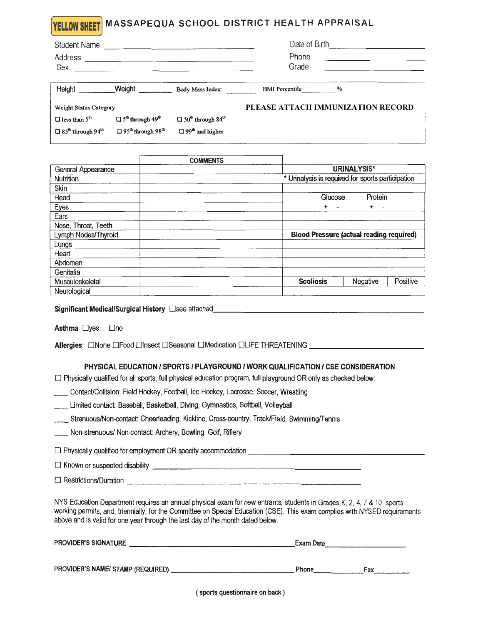## MASSAPEQUA SCHOOL DISTRICT HEALTH APPRAISAL **YELLOW SHEET**

| <b>Student Name</b><br>Address<br>Sex            |                                                  |                                                  | Date of Birth<br>Phone<br>Grade   |  |  |
|--------------------------------------------------|--------------------------------------------------|--------------------------------------------------|-----------------------------------|--|--|
| Height                                           | Weight                                           | Body Mass Index:                                 | BMI Percentile %                  |  |  |
| Weight Status Category                           |                                                  |                                                  | PLEASE ATTACH IMMUNIZATION RECORD |  |  |
| $\Box$ less than 5 <sup>th</sup>                 | $\Box$ 5 <sup>th</sup> through 49 <sup>th</sup>  | $\Box$ 50 <sup>th</sup> through 84 <sup>th</sup> |                                   |  |  |
| $\Box$ 85 <sup>th</sup> through 94 <sup>th</sup> | $\Box$ 95 <sup>th</sup> through 98 <sup>th</sup> | $\Box$ 99 <sup>th</sup> and higher               |                                   |  |  |

|                     | <b>COMMENTS</b> |                                                   |          |          |
|---------------------|-----------------|---------------------------------------------------|----------|----------|
| General Appearance  |                 | URINALYSIS*                                       |          |          |
| Nutrition           |                 | * Urinalysis is required for sports participation |          |          |
| Skin                |                 |                                                   |          |          |
| Head                |                 | Glucose                                           | Protein  |          |
| Eyes                |                 | $\ddotmark$<br>$\overline{\phantom{a}}$           | $+$ $-$  |          |
| Ears                |                 |                                                   |          |          |
| Nose, Throat, Teeth |                 |                                                   |          |          |
| Lymph Nodes/Thyroid |                 | <b>Blood Pressure (actual reading required)</b>   |          |          |
| Lungs               |                 |                                                   |          |          |
| Heart               |                 |                                                   |          |          |
| Abdomen             |                 |                                                   |          |          |
| Genitalia           |                 |                                                   |          |          |
| Musculoskeletal     |                 | <b>Scoliosis</b>                                  | Negative | Positive |
| Neurological        |                 |                                                   |          |          |

Significant Medical/Surgical History □see attached

Asthma □yes □no

Allergies: □None □Food □Insect □Seasonal □Medication □LIFE THREATENING \_\_\_\_\_\_\_\_\_\_\_\_\_\_\_\_\_\_\_\_\_\_\_\_\_\_\_

## PHYSICAL EDUCATION / SPORTS / PLAYGROUND / WORK QUALIFICATION / CSE CONSIDERATION

□ Physically qualified for all sports, full physical education program, full playground OR only as checked below:

Contact/Collision: Field Hockey, Football, Ice Hockey, Lacrosse, Soccer, Wrestling

Limited contact: Baseball, Basketball, Diving, Gymnastics, Softball, Volleyball

| Strenuous/Non-contact: Cheerleading, Kickline, Cross-country, Track/Field, Swimming/Tennis_ |  |  |  |
|---------------------------------------------------------------------------------------------|--|--|--|
|                                                                                             |  |  |  |

Non-strenuous/ Non-contact: Archery, Bowling, Golf, Riflery

□ Restrictions/Duration

NYS Education Department requires an annual physical exam for new entrants, students in Grades K, 2, 4, 7 & 10, sports, working permits, and, triennially, for the Committee on Special Education (CSE). This exam complies with NYSED requirements above and is valid for one year through the last day of the month dated below.

| <b>PROVIDER'S SIGNATURE</b>       | Exam Date |     |  |
|-----------------------------------|-----------|-----|--|
|                                   |           |     |  |
| PROVIDER'S NAME/ STAMP (REQUIRED) | Phone     | Fax |  |

(sports questionnaire on back)